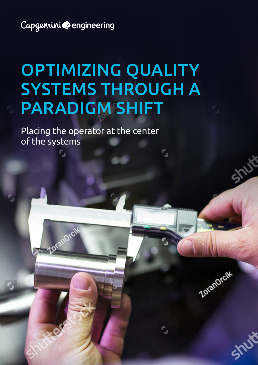Capgemini **C**engineering

c,

Zoranorcit

r,

# OPTIMIZING QUALITY SYSTEMS THROUGH A PARADIGM SHIFT

r,

۴,

Shutt

Shirt

Zoranorcik

Placing the operator at the center of the systems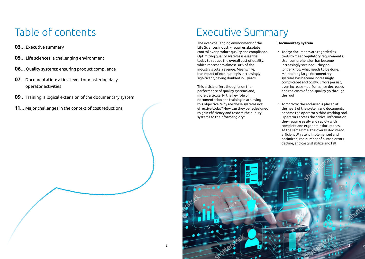## Table of contents

- **03**… Executive summary
- **05**… Life sciences: a challenging environment
- **06**… Quality systems: ensuring product compliance
- **07**… Documentation: a first lever for mastering daily operator activities
- **09**… Training: a logical extension of the documentary system
- **11**… Major challenges in the context of cost reductions

### Executive Summary

The ever-challenging environment of the Life Sciences industry requires absolute control over product quality and compliance. Optimizing quality systems is essential today to reduce the overall cost of quality, which represents almost 30% of the industry's total revenue. Meanwhile, the impact of non-quality is increasingly significant, having doubled in 5 years.

This article offers thoughts on the performance of quality systems and, more particularly, the key role of documentation and training in achieving this objective. Why are these systems not effective today? How can they be redesigned to gain efficiency and restore the quality systems to their former glory?

### **Documentary system**

- Today: documents are regarded as tools to meet regulatory requirements. User comprehension has become increasingly strained – they no longer know what needs to be done. Maintaining large documentary systems has become increasingly complicated and costly. Errors persist, even increase – performance decreases and the costs of non-quality go through the roof
- Tomorrow: the end-user is placed at the heart of the system and documents become the operator's third working tool. Operators access the critical information they require easily and rapidly with complete and ergonomic documents. At the same time, the overall document efficiency<sup>[1]</sup> rate is implemented and optimized, the number of human errors decline, and costs stabilize and fall

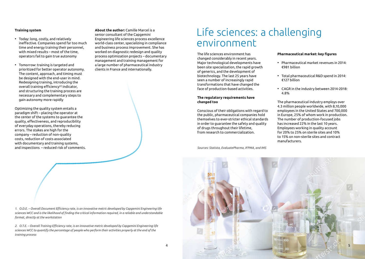### **Training system**

- Today: long, costly, and relatively ineffective. Companies spend far too much time and energy training their personnel, with mixed results – most of the time, operators fail to gain true autonomy
- Tomorrow: training is targeted and prioritized for better operator autonomy. The content, approach, and timing must be designed with the end-user in mind. Redesigning training, introducing the overall training efficiency<sup>[2]</sup> indicator, and structuring the training process are necessary and complementary steps to gain autonomy more rapidly

Optimizing the quality system entails a paradigm shift – placing the operator at the center of the systems to guarantee the quality, effectiveness, and reproducibility of everyday operations, thereby reducing errors. The stakes are high for the company – reduction of non-quality costs, reduction of costs associated with documentary and training systems. and inspections – reduced risk of comments. **About the author:** Camille Marcel is a senior consultant of the Capgemini Engineering life sciences process excellence world-class center, specializing in compliance and business process improvement. She has worked on diagnostic redesign and quality process optimization projects – documentary management and training management for a large number of pharmaceutical industry clients in France and internationally.

### Life sciences: a challenging environment

The life sciences environment has changed considerably in recent years. Major technological developments have been site specialization, the rapid growth of generics, and the development of biotechnology. The last 25 years have seen a number of increasingly rapid transformations that have changed the face of production-based activities.

### **The regulatory requirements have changed too**

Conscious of their obligations with regard to the public, pharmaceutical companies hold themselves to ever-stricter ethical standards in order to guarantee the safety and quality of drugs throughout their lifetime, from research to commercialization.

*Sources: Statista, EvaluatePharma, IFPMA, and IMS*

#### **Pharmaceutical market: key figures**

- Pharmaceutical market revenues in 2014: €981 billion
- Total pharmaceutical R&D spend in 2014: €127 billion
- CAGR in the industry between 2014-2018: 4.8%

The pharmaceutical industry employs over 4.3 million people worldwide, with 8,10,000 employees in the United States and 700,000 in Europe, 25% of whom work in production. The number of production-focused jobs has increased 22% in the last 10 years. Employees working in quality account for 20% to 25% on sterile sites and 10% to 15% on non-sterile sites and contract manufacturers.



*1. O.D.E. – Overall Document Efficiency rate, is an innovative metric developed by Capgemini Engineering life sciences WCC and is the likelihood of finding the critical information required, in a reliable and understandable format, directly at the workstation* 

*2. O.T.E. – Overall Training Efficiency rate, is an innovative metric developed by Capgemini Engineering life sciences WCC to quantify the percentage of people who perform their activities properly at the end of the training process*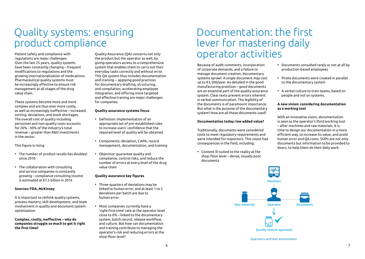### Quality systems: ensuring product compliance

Patient safety and compliance with regulations are major challenges. Over the last 25 years, quality systems have been constantly changing – frequent modifications to regulations and the growing internationalization of medications. Pharmaceutical quality systems must be increasingly effective to ensure risk management at all stages of the drug value chain.

These systems become more and more complex and are thus ever more costly, as well as increasingly ineffective – increased sorting, deviations, and stock shortages. The overall cost of quality including personnel and non-quality costs accounts for 20% - 30% of the industry's total revenue – greater than R&D investments in the sector.

### This figure is rising

- The number of product recalls has doubled since 2010
- The collaboration with consulting and service companies is constantly growing – compliance consulting income is estimated at €7.5 billion in 2014

### **Sources: FDA, McKinsey**

It is important to rethink quality systems, process mastery, skill development, and team involvement in quality and document system optimization.

**Complex, costly, ineffective – why do companies struggle so much to get it right the first time?** 

Quality Assurance (QA) concerns not only the product but the operator as well, by giving operators access to a comprehensive system that enables them to carry out their everyday tasks correctly and without error. This QA system thus includes documentation and training – applying good practices for documentary drafting, structuring, and compilation, accelerating employee integration, and offering more targeted and effective training are major challenges for companies.

### **Quality assurance systems focus**

- Definition: implementation of an appropriate set of pre-established rules to increase users' confidence that the required level of quality will be obtained
- Components: deviation, CAPA, record management, documentation, and training
- Objective: guarantee quality and compliance, control risks, and reduce the number of errors at every level of the drug value chain

### **Quality assurance key figures**

- Three-quarters of deviations may be linked to human error, and at least 1 to 2 deviations per batch are due to human error
- Most companies currently have a 'right-first-time' rate at the operator level close to 0% – linked to the documentary system, batch record, release workflow, and culture. But how can documentation and training contribute to managing the operator's risk and reducing errors at the shop-floor level?

### Documentation: the first lever for mastering daily operator activities

Because of audit comments, incorporation of corporate demands, and a failure to manage document creation, documentary systems sprawl. A single document may cost up to €3,500/year. As detailed in the good manufacturing practices – good documents are an essential part of the quality assurance system. Clear texts prevent errors inherent in verbal communication. The legibility of the documents is of paramount importance. But what is the purpose of the documentary system? How are all these documents used?

### **Documentation today: low added value?**

Traditionally, documents were considered tools to meet regulatory requirements and were intended for inspectors. This vision had consequences in the field, including:

• Content ill-suited to the reality at the shop-floor level – dense, visually poor documents

- Documents consulted rarely or not at all by production-based employees
- Pirate documents were created in parallel to the documentary system
- A verbal culture to train teams, based on people and not on systems.

### **A new vision: considering documentation as a working tool**

With an innovative vision, documentation is seen as the operator's third working tool – after machines and raw materials. It is time to design our documentation in a more efficient way, to increase its value, and avoid human error and QA costs. SOPs are not only documents but information to be provided to doers, to help them do their daily work.



Operators and their environment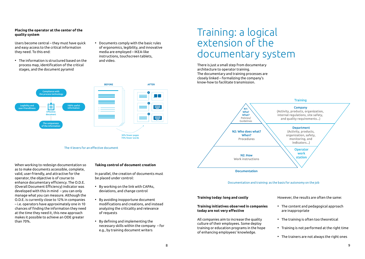### **Placing the operator at the center of the quality system**

Users become central – they must have quick and easy access to the critical information they need. To this end:

- The information is structured based on the process map, identification of the critical stages, and the document pyramid
- Documents comply with the basic rules of ergonomics, legibility, and innovative media are employed – IKEA-like instructions, touchscreen tablets, and video.

### Training: a logical extension of the documentary system

There is just a small step from documentary architecture to operator training. The documentary and training processes are closely linked – formalizing the company's know-how to facilitate transmission.



#### Documentation and training: as the basis for autonomy on the job

#### **Training today: long and costly**

#### **Training initiatives observed in companies today are not very effective**

All companies aim to increase the quality culture of their employees. Some deploy training or education programs in the hope of enhancing employees' knowledge.

However, the results are often the same:

- The content and pedagogical approach are inappropriate
- The training is often too theoretical
- Training is not performed at the right time
- The trainers are not always the right ones



The 4 levers for an effective document

When working to redesign documentation so as to make documents accessible, complete, valid, user-friendly, and attractive for the operator, the objective is of course to enhance documentary efficiency. The O.D.E. (Overall Document Efficiency) indicator was developed with this in mind – you can only manage what you can measure. Although the O.D.E. is currently close to 12% in companies – i.e. operators have approximately one in 10 chances of finding the information they need at the time they need it, this new approach makes it possible to achieve an ODE greater than 70%.

#### **Taking control of document creation**

In parallel, the creation of documents must be placed under control:

- By working on the link with CAPAs, deviations, and change control
- By avoiding inopportune document modifications and creations, and instead analyzing the criticality and relevance of requests
- By defining and implementing the necessary skills within the company – for e.g., by training document writers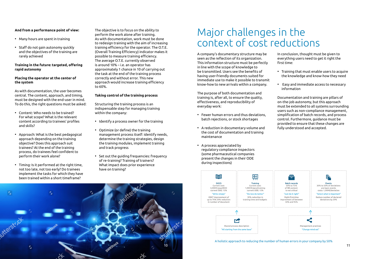### **And from a performance point of view:**

- Many hours are spent in training
- Staff do not gain autonomy quickly and the objectives of the training are rarely achieved

### **Training in the future: targeted, offering rapid autonomy**

### **Placing the operator at the center of the system**

As with documentation, the user becomes central. The content, approach, and timing, must be designed with the end-user in mind. To do this, the right questions must be asked:

- Content: Who needs to be trained? For what scope? What is the relevant content according to trainees' profiles and skills?
- Approach: What is the best pedagogical approach depending on the training objective? Does this approach suit trainees? At the end of the training process, do trainees feel confident to perform their work alone?
- Timing: Is it performed at the right time, not too late, not too early? Do trainees implement the tasks for which they have been trained within a short timeframe?

The objective is to focus on the ability to perform the work alone after training. As with documentation, work must be done to redesign training with the aim of increasing training efficiency for the operator. The O.T.E. (Overall Training Efficiency) indicator makes it possible to measure training efficiency. The average O.T.E. currently observed is around 10% – i.e. an operator has approximately 1 chance in 10 of carrying out the task at the end of the training process correctly and without error. This new approach would increase training efficiency to 60%.

### **Taking control of the training process**

Structuring the training process is an indispensable step for managing training within the company:

- Identify a process owner for the training
- Optimize (or define) the training management process itself: identify needs, determine the training strategies, design the training modules, implement training and track progress
- Set out the guiding frequencies: frequency of re-training? Training of trainers? What impact does prior experience have on training?

### Major challenges in the context of cost reductions

A company's documentary structure may be seen as the reflection of its organization. This information structure must be perfectly in line with the scope of knowledge to be transmitted. Users see the benefits of having user-friendly documents suited for immediate use to make it possible to transmit know-how to new arrivals within a company.

The purpose of both documentation and training is, after all, to ensure the quality, effectiveness, and reproducibility of everyday work:

- Fewer human errors and thus deviations, batch rejections, or stock shortages
- A reduction in documentary volume and the cost of documentation and training maintenance
- A process appreciated by regulatory compliance inspectors (some pharmaceutical companies present the changes in their ODE during inspections)

In conclusion, thought must be given to everything users need to get it right the first time:

- Training that must enable users to acquire the knowledge and know-how they need
- Easy and immediate access to necessary information

Documentation and training are pillars of on-the-job autonomy, but this approach must be extended to all systems surrounding users such as non-compliance management, simplification of batch records, and process control. Furthermore, guidance must be provided to ensure that these changes are fully understood and accepted.



#### A holistic approach to reducing the number of human errors in your company by 50%